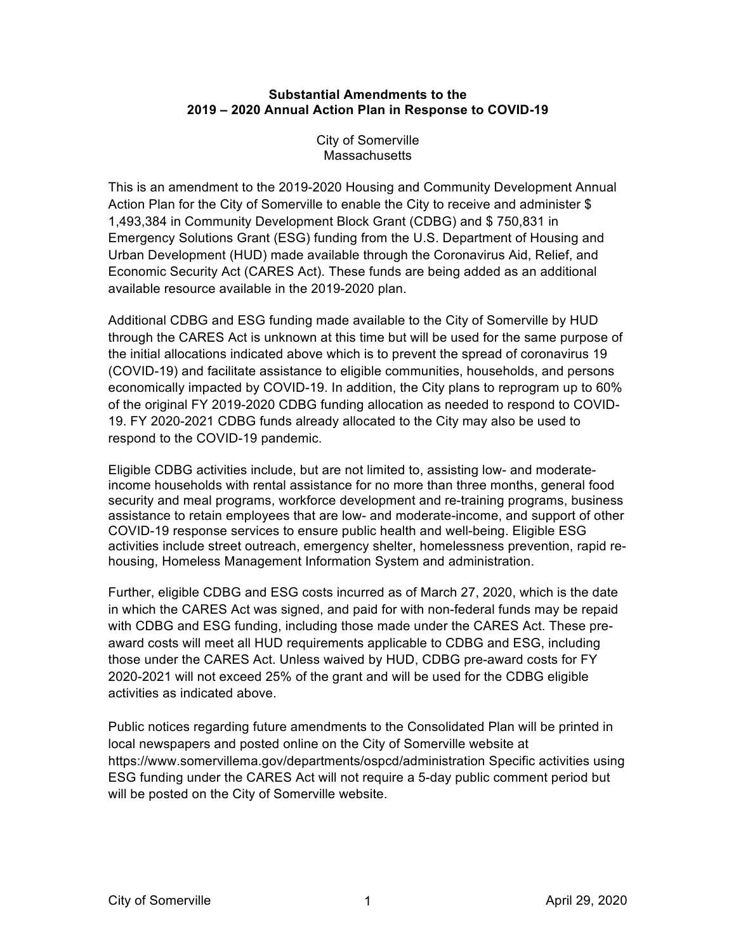## **Substantial Amendments to the 2019 – 2020 Annual Action Plan in Response to COVID-19**

City of Somerville **Massachusetts** 

This is an amendment to the 2019-2020 Housing and Community Development Annual Action Plan for the City of Somerville to enable the City to receive and administer \$ 1,493,384 in Community Development Block Grant (CDBG) and \$ 750,831 in Emergency Solutions Grant (ESG) funding from the U.S. Department of Housing and Urban Development (HUD) made available through the Coronavirus Aid, Relief, and Economic Security Act (CARES Act). These funds are being added as an additional available resource available in the 2019-2020 plan.

Additional CDBG and ESG funding made available to the City of Somerville by HUD through the CARES Act is unknown at this time but will be used for the same purpose of the initial allocations indicated above which is to prevent the spread of coronavirus 19 (COVID-19) and facilitate assistance to eligible communities, households, and persons economically impacted by COVID-19. In addition, the City plans to reprogram up to 60% of the original FY 2019-2020 CDBG funding allocation as needed to respond to COVID-19. FY 2020-2021 CDBG funds already allocated to the City may also be used to respond to the COVID-19 pandemic.

Eligible CDBG activities include, but are not limited to, assisting low- and moderateincome households with rental assistance for no more than three months, general food security and meal programs, workforce development and re-training programs, business assistance to retain employees that are low- and moderate-income, and support of other COVID-19 response services to ensure public health and well-being. Eligible ESG activities include street outreach, emergency shelter, homelessness prevention, rapid rehousing, Homeless Management Information System and administration.

Further, eligible CDBG and ESG costs incurred as of March 27, 2020, which is the date in which the CARES Act was signed, and paid for with non-federal funds may be repaid with CDBG and ESG funding, including those made under the CARES Act. These preaward costs will meet all HUD requirements applicable to CDBG and ESG, including those under the CARES Act. Unless waived by HUD, CDBG pre-award costs for FY 2020-2021 will not exceed 25% of the grant and will be used for the CDBG eligible activities as indicated above.

Public notices regarding future amendments to the Consolidated Plan will be printed in local newspapers and posted online on the City of Somerville website at https://www.somervillema.gov/departments/ospcd/administration Specific activities using ESG funding under the CARES Act will not require a 5-day public comment period but will be posted on the City of Somerville website.